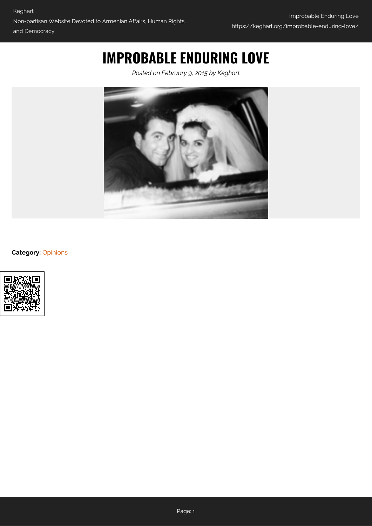## **IMPROBABLE ENDURING LOVE**

*Posted on February 9, 2015 by Keghart*



**Category:** [Opinions](https://keghart.org/category/opinions/)

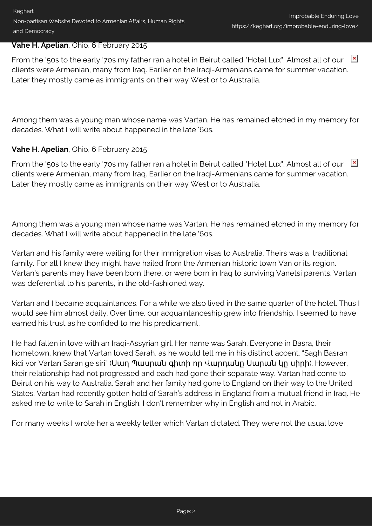Keghart Non-partisan Website Devoted to Armenian Affairs, Human Rights and Democracy

## **Vahe H. Apelian**, Ohio, 6 February 2015

From the '50s to the early '70s my father ran a hotel in Beirut called "Hotel Lux". Almost all of our  $\mathbb{R}$ clients were Armenian, many from Iraq. Earlier on the Iraqi-Armenians came for summer vacation. Later they mostly came as immigrants on their way West or to Australia.

Among them was a young man whose name was Vartan. He has remained etched in my memory for decades. What I will write about happened in the late '60s.

## **Vahe H. Apelian**, Ohio, 6 February 2015

From the '50s to the early '70s my father ran a hotel in Beirut called "Hotel Lux". Almost all of our **x** clients were Armenian, many from Iraq. Earlier on the Iraqi-Armenians came for summer vacation. Later they mostly came as immigrants on their way West or to Australia.

Among them was a young man whose name was Vartan. He has remained etched in my memory for decades. What I will write about happened in the late '60s.

Vartan and his family were waiting for their immigration visas to Australia. Theirs was a traditional family. For all I knew they might have hailed from the Armenian historic town Van or its region. Vartan's parents may have been born there, or were born in Iraq to surviving Vanetsi parents. Vartan was deferential to his parents, in the old-fashioned way.

Vartan and I became acquaintances. For a while we also lived in the same quarter of the hotel. Thus I would see him almost daily. Over time, our acquaintanceship grew into friendship. I seemed to have earned his trust as he confided to me his predicament.

He had fallen in love with an Iraqi-Assyrian girl. Her name was Sarah. Everyone in Basra, their hometown, knew that Vartan loved Sarah, as he would tell me in his distinct accent. "Sagh Basran kidi vor Vartan Saran ge siri" (Սաղ Պասրան գիտի որ Վարդանը Սարան կը սիրի). However, their relationship had not progressed and each had gone their separate way. Vartan had come to Beirut on his way to Australia. Sarah and her family had gone to England on their way to the United States. Vartan had recently gotten hold of Sarah's address in England from a mutual friend in Iraq. He asked me to write to Sarah in English. I don't remember why in English and not in Arabic.

For many weeks I wrote her a weekly letter which Vartan dictated. They were not the usual love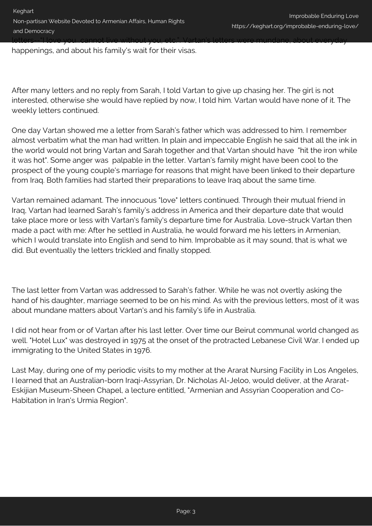happenings, and about his family's wait for their visas.

After many letters and no reply from Sarah, I told Vartan to give up chasing her. The girl is not interested, otherwise she would have replied by now, I told him. Vartan would have none of it. The weekly letters continued.

One day Vartan showed me a letter from Sarah's father which was addressed to him. I remember almost verbatim what the man had written. In plain and impeccable English he said that all the ink in the world would not bring Vartan and Sarah together and that Vartan should have "hit the iron while it was hot". Some anger was palpable in the letter. Vartan's family might have been cool to the prospect of the young couple's marriage for reasons that might have been linked to their departure from Iraq. Both families had started their preparations to leave Iraq about the same time.

Vartan remained adamant. The innocuous "love" letters continued. Through their mutual friend in Iraq, Vartan had learned Sarah's family's address in America and their departure date that would take place more or less with Vartan's family's departure time for Australia. Love-struck Vartan then made a pact with me: After he settled in Australia, he would forward me his letters in Armenian, which I would translate into English and send to him. Improbable as it may sound, that is what we did. But eventually the letters trickled and finally stopped.

The last letter from Vartan was addressed to Sarah's father. While he was not overtly asking the hand of his daughter, marriage seemed to be on his mind. As with the previous letters, most of it was about mundane matters about Vartan's and his family's life in Australia.

I did not hear from or of Vartan after his last letter. Over time our Beirut communal world changed as well. "Hotel Lux" was destroyed in 1975 at the onset of the protracted Lebanese Civil War. I ended up immigrating to the United States in 1976.

Last May, during one of my periodic visits to my mother at the Ararat Nursing Facility in Los Angeles, I learned that an Australian-born Iraqi-Assyrian, Dr. Nicholas Al-Jeloo, would deliver, at the Ararat-Eskijian Museum-Sheen Chapel, a lecture entitled, "Armenian and Assyrian Cooperation and Co-Habitation in Iran's Urmia Region".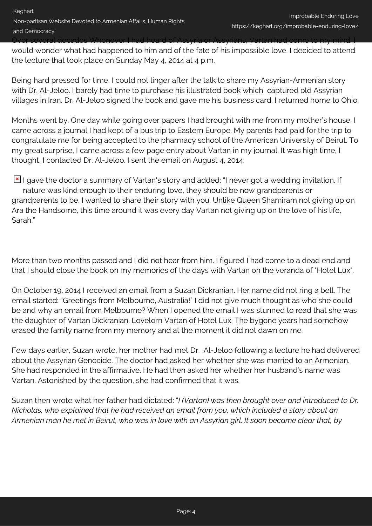would wonder what had happened to him and of the fate of his impossible love. I decided to attend the lecture that took place on Sunday May 4, 2014 at 4 p.m.

Being hard pressed for time, I could not linger after the talk to share my Assyrian-Armenian story with Dr. Al-Jeloo. I barely had time to purchase his illustrated book which captured old Assyrian villages in Iran. Dr. Al-Jeloo signed the book and gave me his business card. I returned home to Ohio.

Months went by. One day while going over papers I had brought with me from my mother's house, I came across a journal I had kept of a bus trip to Eastern Europe. My parents had paid for the trip to congratulate me for being accepted to the pharmacy school of the American University of Beirut. To my great surprise, I came across a few page entry about Vartan in my journal. It was high time, I thought, I contacted Dr. Al-Jeloo. I sent the email on August 4, 2014.

I gave the doctor a summary of Vartan's story and added: "I never got a wedding invitation. If nature was kind enough to their enduring love, they should be now grandparents or grandparents to be. I wanted to share their story with you. Unlike Queen Shamiram not giving up on Ara the Handsome, this time around it was every day Vartan not giving up on the love of his life, Sarah."

More than two months passed and I did not hear from him. I figured I had come to a dead end and that I should close the book on my memories of the days with Vartan on the veranda of "Hotel Lux".

On October 19, 2014 I received an email from a Suzan Dickranian. Her name did not ring a bell. The email started: "Greetings from Melbourne, Australia!" I did not give much thought as who she could be and why an email from Melbourne? When I opened the email I was stunned to read that she was the daughter of Vartan Dickranian. Lovelorn Vartan of Hotel Lux. The bygone years had somehow erased the family name from my memory and at the moment it did not dawn on me.

Few days earlier, Suzan wrote, her mother had met Dr. Al-Jeloo following a lecture he had delivered about the Assyrian Genocide. The doctor had asked her whether she was married to an Armenian. She had responded in the affirmative. He had then asked her whether her husband's name was Vartan. Astonished by the question, she had confirmed that it was.

Suzan then wrote what her father had dictated: "*I (Vartan) was then brought over and introduced to Dr. Nicholas, who explained that he had received an email from you, which included a story about an Armenian man he met in Beirut, who was in love with an Assyrian girl. It soon became clear that, by*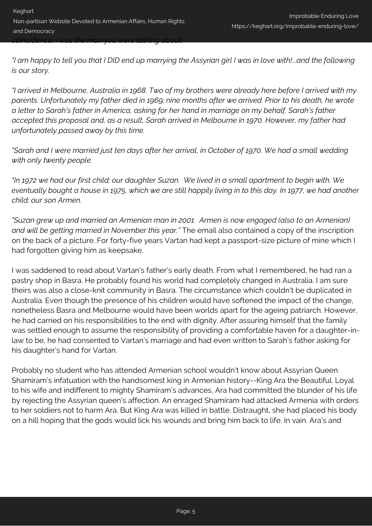*"I am happy to tell you that I DID end up marrying the Assyrian girl I was in love with!...and the following is our story.*

*"I arrived in Melbourne, Australia in 1968. Two of my brothers were already here before I arrived with my parents. Unfortunately my father died in 1969; nine months after we arrived. Prior to his death, he wrote a letter to Sarah's father in America, asking for her hand in marriage on my behalf. Sarah's father accepted this proposal and, as a result, Sarah arrived in Melbourne in 1970. However, my father had unfortunately passed away by this time.*

*"Sarah and I were married just ten days after her arrival, in October of 1970. We had a small wedding with only twenty people.* 

*"In 1972 we had our first child; our daughter Suzan. We lived in a small apartment to begin with. We eventually bought a house in 1975, which we are still happily living in to this day. In 1977, we had another child; our son Armen.* 

*"Suzan grew up and married an Armenian man in 2001. Armen is now engaged (also to an Armenian) and will be getting married in November this year."* The email also contained a copy of the inscription on the back of a picture. For forty-five years Vartan had kept a passport-size picture of mine which I had forgotten giving him as keepsake.

I was saddened to read about Vartan's father's early death. From what I remembered, he had ran a pastry shop in Basra. He probably found his world had completely changed in Australia. I am sure theirs was also a close-knit community in Basra. The circumstance which couldn't be duplicated in Australia. Even though the presence of his children would have softened the impact of the change, nonetheless Basra and Melbourne would have been worlds apart for the ageing patriarch. However, he had carried on his responsibilities to the end with dignity. After assuring himself that the family was settled enough to assume the responsibility of providing a comfortable haven for a daughter-inlaw to be, he had consented to Vartan's marriage and had even written to Sarah's father asking for his daughter's hand for Vartan.

Probably no student who has attended Armenian school wouldn't know about Assyrian Queen Shamiram's infatuation with the handsomest king in Armenian history--King Ara the Beautiful. Loyal to his wife and indifferent to mighty Shamiram's advances, Ara had committed the blunder of his life by rejecting the Assyrian queen's affection. An enraged Shamiram had attacked Armenia with orders to her soldiers not to harm Ara. But King Ara was killed in battle. Distraught, she had placed his body on a hill hoping that the gods would lick his wounds and bring him back to life. In vain. Ara's and